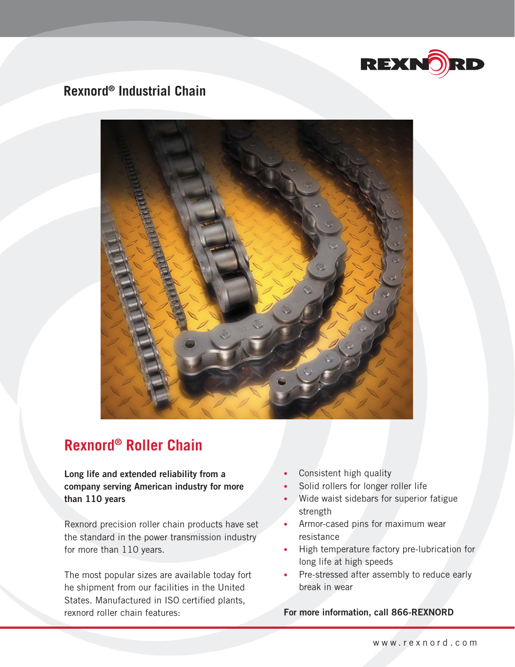

## **Rexnord® Industrial Chain**



# **Rexnord® Roller Chain**

**Long life and extended reliability from a company serving American industry for more than 110 years**

Rexnord precision roller chain products have set the standard in the power transmission industry for more than 110 years.

The most popular sizes are available today fort he shipment from our facilities in the United States. Manufactured in ISO certified plants, rexnord roller chain features:

- Consistent high quality •
- Solid rollers for longer roller life •
- Wide waist sidebars for superior fatigue strength
- Armor-cased pins for maximum wear resistance
- High temperature factory pre-lubrication for long life at high speeds •
- Pre-stressed after assembly to reduce early break in wear •

**For more information, call 866-REXNORD**